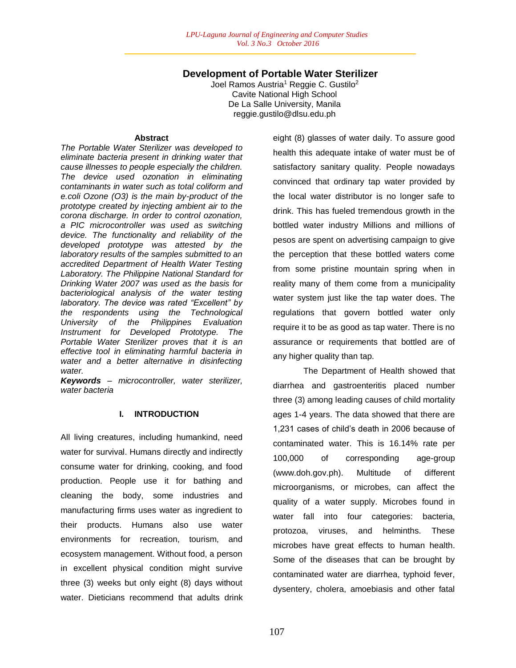# **Development of Portable Water Sterilizer**

Joel Ramos Austria<sup>1</sup> Reggie C. Gustilo<sup>2</sup> Cavite National High School De La Salle University, Manila reggie.gustilo@dlsu.edu.ph

#### **Abstract**

*The Portable Water Sterilizer was developed to eliminate bacteria present in drinking water that cause illnesses to people especially the children. The device used ozonation in eliminating contaminants in water such as total coliform and e.coli Ozone (O3) is the main by-product of the prototype created by injecting ambient air to the corona discharge. In order to control ozonation, a PIC microcontroller was used as switching device. The functionality and reliability of the developed prototype was attested by the laboratory results of the samples submitted to an accredited Department of Health Water Testing Laboratory. The Philippine National Standard for Drinking Water 2007 was used as the basis for bacteriological analysis of the water testing laboratory. The device was rated "Excellent" by the respondents using the Technological University of the Philippines Evaluation Instrument for Developed Prototype. The Portable Water Sterilizer proves that it is an effective tool in eliminating harmful bacteria in water and a better alternative in disinfecting water.*

*Keywords – microcontroller, water sterilizer, water bacteria*

## **I. INTRODUCTION**

All living creatures, including humankind, need water for survival. Humans directly and indirectly consume water for drinking, cooking, and food production. People use it for bathing and cleaning the body, some industries and manufacturing firms uses water as ingredient to their products. Humans also use water environments for recreation, tourism, and ecosystem management. Without food, a person in excellent physical condition might survive three (3) weeks but only eight (8) days without water. Dieticians recommend that adults drink

eight (8) glasses of water daily. To assure good health this adequate intake of water must be of satisfactory sanitary quality. People nowadays convinced that ordinary tap water provided by the local water distributor is no longer safe to drink. This has fueled tremendous growth in the bottled water industry Millions and millions of pesos are spent on advertising campaign to give the perception that these bottled waters come from some pristine mountain spring when in reality many of them come from a municipality water system just like the tap water does. The regulations that govern bottled water only require it to be as good as tap water. There is no assurance or requirements that bottled are of any higher quality than tap.

The Department of Health showed that diarrhea and gastroenteritis placed number three (3) among leading causes of child mortality ages 1-4 years. The data showed that there are 1,231 cases of child's death in 2006 because of contaminated water. This is 16.14% rate per 100,000 of corresponding age-group (www.doh.gov.ph). Multitude of different microorganisms, or microbes, can affect the quality of a water supply. Microbes found in water fall into four categories: bacteria, protozoa, viruses, and helminths. These microbes have great effects to human health. Some of the diseases that can be brought by contaminated water are diarrhea, typhoid fever, dysentery, cholera, amoebiasis and other fatal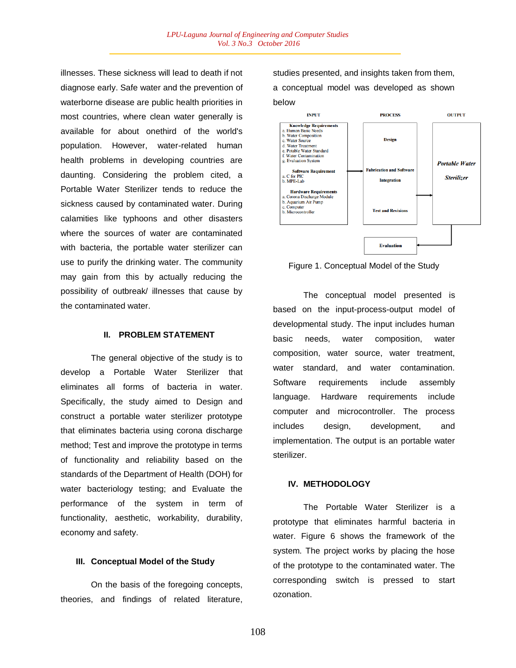illnesses. These sickness will lead to death if not diagnose early. Safe water and the prevention of waterborne disease are public health priorities in most countries, where clean water generally is available for about onethird of the world's population. However, water-related human health problems in developing countries are daunting. Considering the problem cited, a Portable Water Sterilizer tends to reduce the sickness caused by contaminated water. During calamities like typhoons and other disasters where the sources of water are contaminated with bacteria, the portable water sterilizer can use to purify the drinking water. The community may gain from this by actually reducing the possibility of outbreak/ illnesses that cause by the contaminated water.

### **II. PROBLEM STATEMENT**

The general objective of the study is to develop a Portable Water Sterilizer that eliminates all forms of bacteria in water. Specifically, the study aimed to Design and construct a portable water sterilizer prototype that eliminates bacteria using corona discharge method; Test and improve the prototype in terms of functionality and reliability based on the standards of the Department of Health (DOH) for water bacteriology testing; and Evaluate the performance of the system in term of functionality, aesthetic, workability, durability, economy and safety.

#### **III. Conceptual Model of the Study**

On the basis of the foregoing concepts, theories, and findings of related literature, studies presented, and insights taken from them, a conceptual model was developed as shown below



Figure 1. Conceptual Model of the Study

The conceptual model presented is based on the input-process-output model of developmental study. The input includes human basic needs, water composition, water composition, water source, water treatment, water standard, and water contamination. Software requirements include assembly language. Hardware requirements include computer and microcontroller. The process includes design, development, and implementation. The output is an portable water sterilizer.

#### **IV. METHODOLOGY**

The Portable Water Sterilizer is a prototype that eliminates harmful bacteria in water. Figure 6 shows the framework of the system. The project works by placing the hose of the prototype to the contaminated water. The corresponding switch is pressed to start ozonation.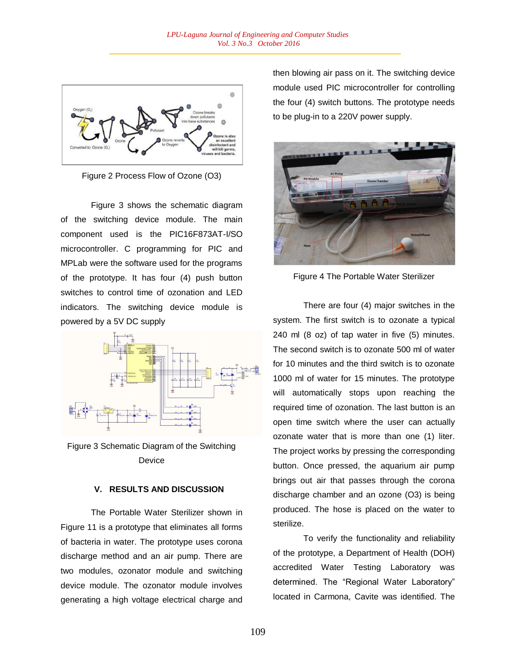

Figure 2 Process Flow of Ozone (O3)

Figure 3 shows the schematic diagram of the switching device module. The main component used is the PIC16F873AT-I/SO microcontroller. C programming for PIC and MPLab were the software used for the programs of the prototype. It has four (4) push button switches to control time of ozonation and LED indicators. The switching device module is powered by a 5V DC supply



Figure 3 Schematic Diagram of the Switching Device

## **V. RESULTS AND DISCUSSION**

The Portable Water Sterilizer shown in Figure 11 is a prototype that eliminates all forms of bacteria in water. The prototype uses corona discharge method and an air pump. There are two modules, ozonator module and switching device module. The ozonator module involves generating a high voltage electrical charge and

then blowing air pass on it. The switching device module used PIC microcontroller for controlling the four (4) switch buttons. The prototype needs to be plug-in to a 220V power supply.



Figure 4 The Portable Water Sterilizer

There are four (4) major switches in the system. The first switch is to ozonate a typical 240 ml (8 oz) of tap water in five (5) minutes. The second switch is to ozonate 500 ml of water for 10 minutes and the third switch is to ozonate 1000 ml of water for 15 minutes. The prototype will automatically stops upon reaching the required time of ozonation. The last button is an open time switch where the user can actually ozonate water that is more than one (1) liter. The project works by pressing the corresponding button. Once pressed, the aquarium air pump brings out air that passes through the corona discharge chamber and an ozone (O3) is being produced. The hose is placed on the water to sterilize.

To verify the functionality and reliability of the prototype, a Department of Health (DOH) accredited Water Testing Laboratory was determined. The "Regional Water Laboratory" located in Carmona, Cavite was identified. The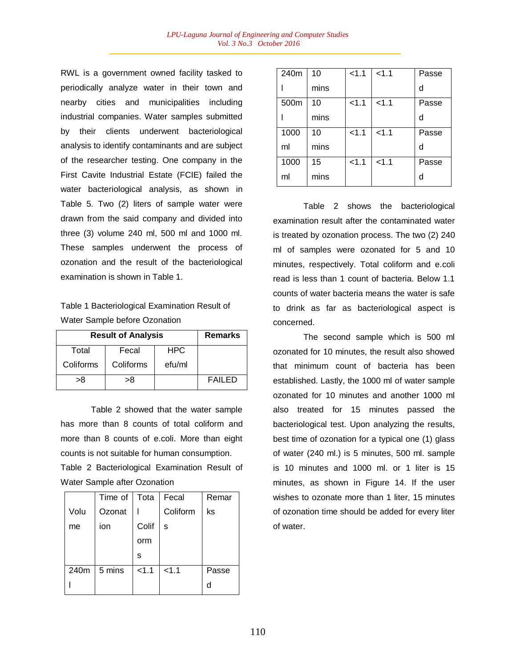RWL is a government owned facility tasked to periodically analyze water in their town and nearby cities and municipalities including industrial companies. Water samples submitted by their clients underwent bacteriological analysis to identify contaminants and are subject of the researcher testing. One company in the First Cavite Industrial Estate (FCIE) failed the water bacteriological analysis, as shown in Table 5. Two (2) liters of sample water were drawn from the said company and divided into three (3) volume 240 ml, 500 ml and 1000 ml. These samples underwent the process of ozonation and the result of the bacteriological examination is shown in Table 1.

Table 1 Bacteriological Examination Result of Water Sample before Ozonation

| <b>Result of Analysis</b> | <b>Remarks</b> |            |               |
|---------------------------|----------------|------------|---------------|
| Total                     | Fecal          | <b>HPC</b> |               |
| Coliforms                 | Coliforms      | efu/ml     |               |
| >8                        | >8             |            | <b>FAILED</b> |

Table 2 showed that the water sample has more than 8 counts of total coliform and more than 8 counts of e.coli. More than eight counts is not suitable for human consumption.

Table 2 Bacteriological Examination Result of Water Sample after Ozonation

|      | Time of Tota |       | Fecal    | Remar |
|------|--------------|-------|----------|-------|
| Volu | Ozonat       |       | Coliform | ks    |
| me   | ion          | Colif | S        |       |
|      |              | orm   |          |       |
|      |              | s     |          |       |
| 240m | 5 mins       | < 1.1 | < 1.1    | Passe |
|      |              |       |          | d     |

| 240m | 10   | 1.1   | < 1.1 | Passe |
|------|------|-------|-------|-------|
|      | mins |       |       | d     |
| 500m | 10   | < 1.1 | < 1.1 | Passe |
|      | mins |       |       | d     |
| 1000 | 10   | < 1.1 | < 1.1 | Passe |
| ml   | mins |       |       | d     |
| 1000 | 15   | 1.1   | < 1.1 | Passe |
| ml   | mins |       |       | d     |

Table 2 shows the bacteriological examination result after the contaminated water is treated by ozonation process. The two (2) 240 ml of samples were ozonated for 5 and 10 minutes, respectively. Total coliform and e.coli read is less than 1 count of bacteria. Below 1.1 counts of water bacteria means the water is safe to drink as far as bacteriological aspect is concerned.

The second sample which is 500 ml ozonated for 10 minutes, the result also showed that minimum count of bacteria has been established. Lastly, the 1000 ml of water sample ozonated for 10 minutes and another 1000 ml also treated for 15 minutes passed the bacteriological test. Upon analyzing the results, best time of ozonation for a typical one (1) glass of water (240 ml.) is 5 minutes, 500 ml. sample is 10 minutes and 1000 ml. or 1 liter is 15 minutes, as shown in Figure 14. If the user wishes to ozonate more than 1 liter, 15 minutes of ozonation time should be added for every liter of water.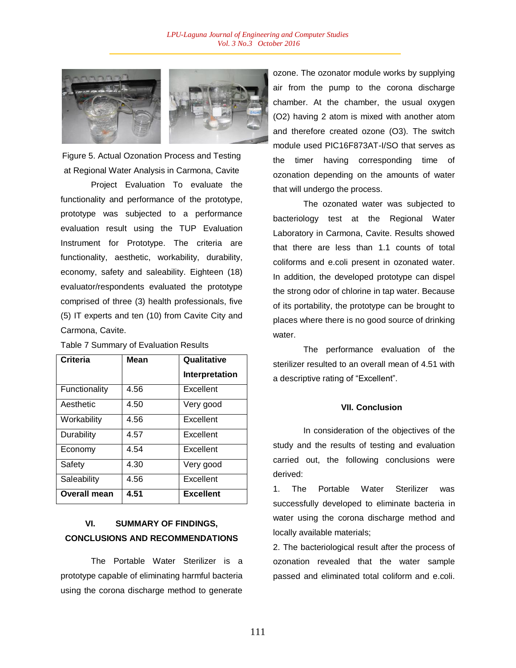

Figure 5. Actual Ozonation Process and Testing at Regional Water Analysis in Carmona, Cavite

Project Evaluation To evaluate the functionality and performance of the prototype, prototype was subjected to a performance evaluation result using the TUP Evaluation Instrument for Prototype. The criteria are functionality, aesthetic, workability, durability, economy, safety and saleability. Eighteen (18) evaluator/respondents evaluated the prototype comprised of three (3) health professionals, five (5) IT experts and ten (10) from Cavite City and Carmona, Cavite.

| Criteria            | <b>Mean</b> | Qualitative      |
|---------------------|-------------|------------------|
|                     |             | Interpretation   |
| Functionality       | 4.56        | Excellent        |
| Aesthetic           | 4.50        | Very good        |
| Workability         | 4.56        | Excellent        |
| Durability          | 4.57        | Excellent        |
| Economy             | 4.54        | Excellent        |
| Safety              | 4.30        | Very good        |
| Saleability         | 4.56        | Excellent        |
| <b>Overall mean</b> | 4.51        | <b>Excellent</b> |

Table 7 Summary of Evaluation Results

# **VI. SUMMARY OF FINDINGS, CONCLUSIONS AND RECOMMENDATIONS**

The Portable Water Sterilizer is a prototype capable of eliminating harmful bacteria using the corona discharge method to generate

ozone. The ozonator module works by supplying air from the pump to the corona discharge chamber. At the chamber, the usual oxygen (O2) having 2 atom is mixed with another atom and therefore created ozone (O3). The switch module used PIC16F873AT-I/SO that serves as the timer having corresponding time of ozonation depending on the amounts of water that will undergo the process.

The ozonated water was subjected to bacteriology test at the Regional Water Laboratory in Carmona, Cavite. Results showed that there are less than 1.1 counts of total coliforms and e.coli present in ozonated water. In addition, the developed prototype can dispel the strong odor of chlorine in tap water. Because of its portability, the prototype can be brought to places where there is no good source of drinking water.

The performance evaluation of the sterilizer resulted to an overall mean of 4.51 with a descriptive rating of "Excellent".

#### **VII. Conclusion**

In consideration of the objectives of the study and the results of testing and evaluation carried out, the following conclusions were derived:

1. The Portable Water Sterilizer was successfully developed to eliminate bacteria in water using the corona discharge method and locally available materials;

2. The bacteriological result after the process of ozonation revealed that the water sample passed and eliminated total coliform and e.coli.